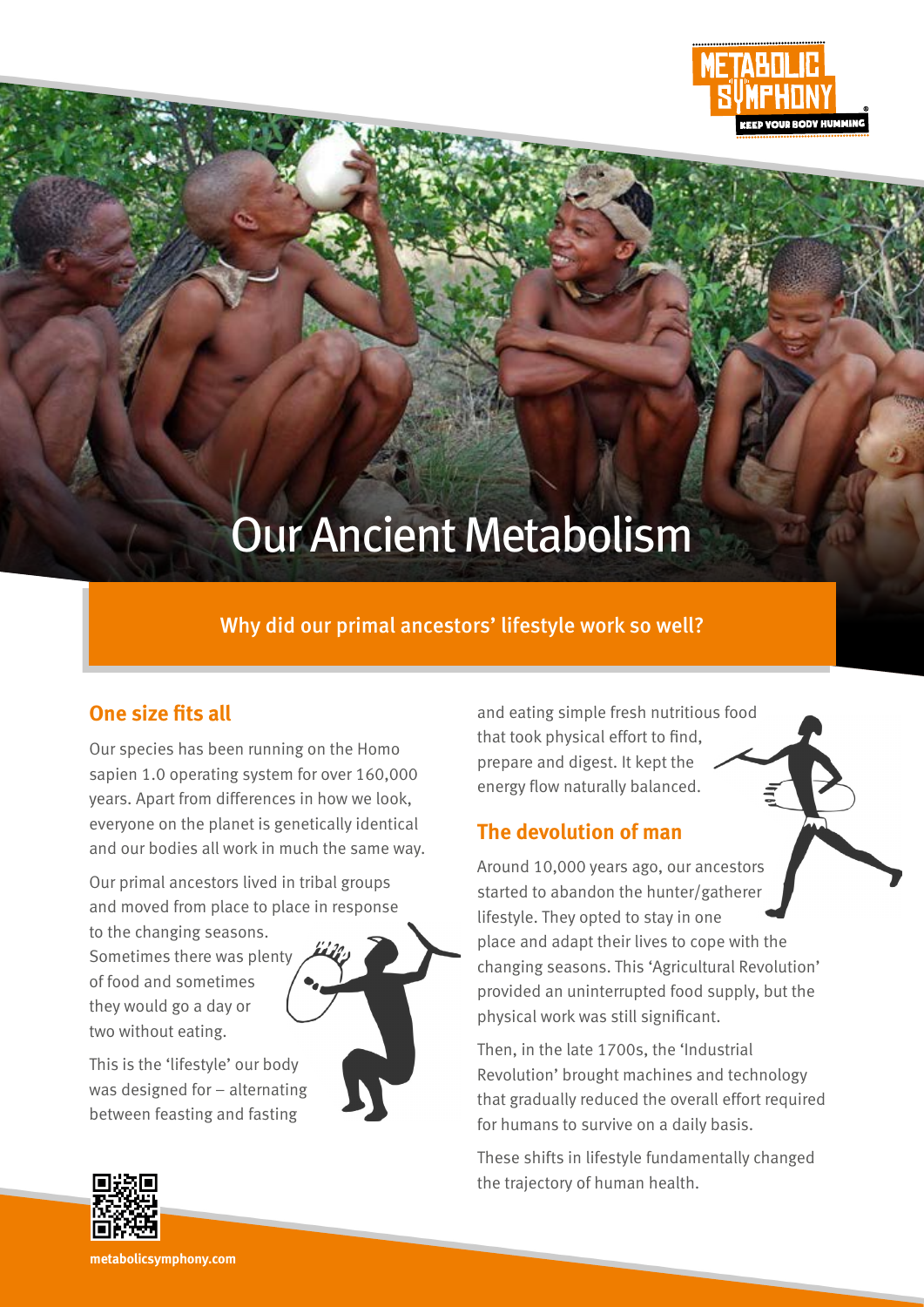

# Our Ancient Metabolism

## Why did our primal ancestors' lifestyle work so well?

### **One size fits all**

Our species has been running on the Homo sapien 1.0 operating system for over 160,000 years. Apart from differences in how we look, everyone on the planet is genetically identical and our bodies all work in much the same way.

Our primal ancestors lived in tribal groups and moved from place to place in response

to the changing seasons. Sometimes there was plenty of food and sometimes they would go a day or two without eating.

This is the 'lifestyle' our body was designed for – alternating between feasting and fasting

and eating simple fresh nutritious food that took physical effort to find, prepare and digest. It kept the energy flow naturally balanced.

### **The devolution of man**

Around 10,000 years ago, our ancestors started to abandon the hunter/gatherer lifestyle. They opted to stay in one place and adapt their lives to cope with the changing seasons. This 'Agricultural Revolution' provided an uninterrupted food supply, but the physical work was still significant.

Then, in the late 1700s, the 'Industrial Revolution' brought machines and technology that gradually reduced the overall effort required for humans to survive on a daily basis.

These shifts in lifestyle fundamentally changed the trajectory of human health.



**metabolicsymphony.com**